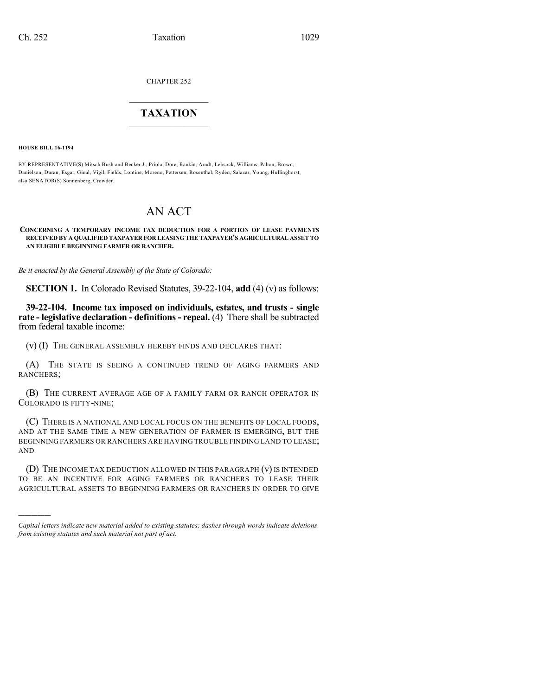CHAPTER 252

# $\overline{\phantom{a}}$  . The set of the set of the set of the set of the set of the set of the set of the set of the set of the set of the set of the set of the set of the set of the set of the set of the set of the set of the set o **TAXATION**  $\_$

**HOUSE BILL 16-1194**

)))))

BY REPRESENTATIVE(S) Mitsch Bush and Becker J., Priola, Dore, Rankin, Arndt, Lebsock, Williams, Pabon, Brown, Danielson, Duran, Esgar, Ginal, Vigil, Fields, Lontine, Moreno, Pettersen, Rosenthal, Ryden, Salazar, Young, Hullinghorst; also SENATOR(S) Sonnenberg, Crowder.

# AN ACT

**CONCERNING A TEMPORARY INCOME TAX DEDUCTION FOR A PORTION OF LEASE PAYMENTS RECEIVED BY A QUALIFIED TAXPAYER FOR LEASING THE TAXPAYER'S AGRICULTURAL ASSET TO AN ELIGIBLE BEGINNING FARMER OR RANCHER.**

*Be it enacted by the General Assembly of the State of Colorado:*

**SECTION 1.** In Colorado Revised Statutes, 39-22-104, **add** (4) (v) as follows:

**39-22-104. Income tax imposed on individuals, estates, and trusts - single rate - legislative declaration - definitions - repeal.** (4) There shall be subtracted from federal taxable income:

(v) (I) THE GENERAL ASSEMBLY HEREBY FINDS AND DECLARES THAT:

(A) THE STATE IS SEEING A CONTINUED TREND OF AGING FARMERS AND RANCHERS;

(B) THE CURRENT AVERAGE AGE OF A FAMILY FARM OR RANCH OPERATOR IN COLORADO IS FIFTY-NINE;

(C) THERE IS A NATIONAL AND LOCAL FOCUS ON THE BENEFITS OF LOCAL FOODS, AND AT THE SAME TIME A NEW GENERATION OF FARMER IS EMERGING, BUT THE BEGINNING FARMERS OR RANCHERS ARE HAVING TROUBLE FINDING LAND TO LEASE; AND

(D) THE INCOME TAX DEDUCTION ALLOWED IN THIS PARAGRAPH (v) IS INTENDED TO BE AN INCENTIVE FOR AGING FARMERS OR RANCHERS TO LEASE THEIR AGRICULTURAL ASSETS TO BEGINNING FARMERS OR RANCHERS IN ORDER TO GIVE

*Capital letters indicate new material added to existing statutes; dashes through words indicate deletions from existing statutes and such material not part of act.*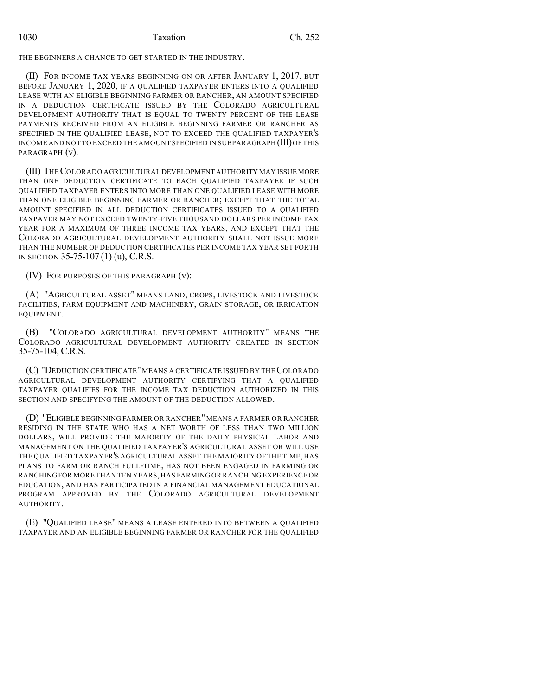### 1030 Taxation Ch. 252

THE BEGINNERS A CHANCE TO GET STARTED IN THE INDUSTRY.

(II) FOR INCOME TAX YEARS BEGINNING ON OR AFTER JANUARY 1, 2017, BUT BEFORE JANUARY 1, 2020, IF A QUALIFIED TAXPAYER ENTERS INTO A QUALIFIED LEASE WITH AN ELIGIBLE BEGINNING FARMER OR RANCHER, AN AMOUNT SPECIFIED IN A DEDUCTION CERTIFICATE ISSUED BY THE COLORADO AGRICULTURAL DEVELOPMENT AUTHORITY THAT IS EQUAL TO TWENTY PERCENT OF THE LEASE PAYMENTS RECEIVED FROM AN ELIGIBLE BEGINNING FARMER OR RANCHER AS SPECIFIED IN THE QUALIFIED LEASE, NOT TO EXCEED THE QUALIFIED TAXPAYER'S INCOME AND NOT TO EXCEED THE AMOUNT SPECIFIED IN SUBPARAGRAPH (III)OF THIS PARAGRAPH (v).

(III) THECOLORADO AGRICULTURAL DEVELOPMENT AUTHORITY MAY ISSUE MORE THAN ONE DEDUCTION CERTIFICATE TO EACH QUALIFIED TAXPAYER IF SUCH QUALIFIED TAXPAYER ENTERS INTO MORE THAN ONE QUALIFIED LEASE WITH MORE THAN ONE ELIGIBLE BEGINNING FARMER OR RANCHER; EXCEPT THAT THE TOTAL AMOUNT SPECIFIED IN ALL DEDUCTION CERTIFICATES ISSUED TO A QUALIFIED TAXPAYER MAY NOT EXCEED TWENTY-FIVE THOUSAND DOLLARS PER INCOME TAX YEAR FOR A MAXIMUM OF THREE INCOME TAX YEARS, AND EXCEPT THAT THE COLORADO AGRICULTURAL DEVELOPMENT AUTHORITY SHALL NOT ISSUE MORE THAN THE NUMBER OF DEDUCTION CERTIFICATES PER INCOME TAX YEAR SET FORTH IN SECTION 35-75-107 (1) (u), C.R.S.

(IV) FOR PURPOSES OF THIS PARAGRAPH (v):

(A) "AGRICULTURAL ASSET" MEANS LAND, CROPS, LIVESTOCK AND LIVESTOCK FACILITIES, FARM EQUIPMENT AND MACHINERY, GRAIN STORAGE, OR IRRIGATION EQUIPMENT.

(B) "COLORADO AGRICULTURAL DEVELOPMENT AUTHORITY" MEANS THE COLORADO AGRICULTURAL DEVELOPMENT AUTHORITY CREATED IN SECTION 35-75-104, C.R.S.

(C) "DEDUCTION CERTIFICATE"MEANS A CERTIFICATE ISSUED BY THECOLORADO AGRICULTURAL DEVELOPMENT AUTHORITY CERTIFYING THAT A QUALIFIED TAXPAYER QUALIFIES FOR THE INCOME TAX DEDUCTION AUTHORIZED IN THIS SECTION AND SPECIFYING THE AMOUNT OF THE DEDUCTION ALLOWED.

(D) "ELIGIBLE BEGINNING FARMER OR RANCHER" MEANS A FARMER OR RANCHER RESIDING IN THE STATE WHO HAS A NET WORTH OF LESS THAN TWO MILLION DOLLARS, WILL PROVIDE THE MAJORITY OF THE DAILY PHYSICAL LABOR AND MANAGEMENT ON THE QUALIFIED TAXPAYER'S AGRICULTURAL ASSET OR WILL USE THE QUALIFIED TAXPAYER'S AGRICULTURAL ASSET THE MAJORITY OF THE TIME, HAS PLANS TO FARM OR RANCH FULL-TIME, HAS NOT BEEN ENGAGED IN FARMING OR RANCHING FOR MORE THAN TEN YEARS, HAS FARMING OR RANCHING EXPERIENCE OR EDUCATION, AND HAS PARTICIPATED IN A FINANCIAL MANAGEMENT EDUCATIONAL PROGRAM APPROVED BY THE COLORADO AGRICULTURAL DEVELOPMENT AUTHORITY.

(E) "QUALIFIED LEASE" MEANS A LEASE ENTERED INTO BETWEEN A QUALIFIED TAXPAYER AND AN ELIGIBLE BEGINNING FARMER OR RANCHER FOR THE QUALIFIED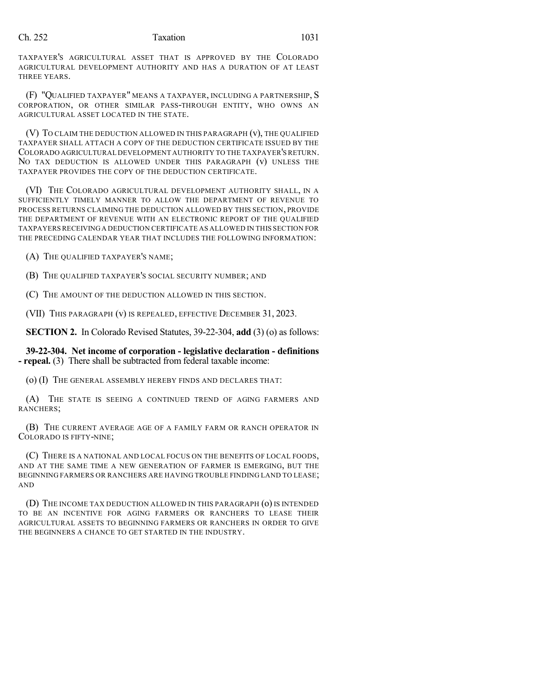## Ch. 252 Taxation 1031

TAXPAYER'S AGRICULTURAL ASSET THAT IS APPROVED BY THE COLORADO AGRICULTURAL DEVELOPMENT AUTHORITY AND HAS A DURATION OF AT LEAST THREE YEARS.

(F) "QUALIFIED TAXPAYER" MEANS A TAXPAYER, INCLUDING A PARTNERSHIP, S CORPORATION, OR OTHER SIMILAR PASS-THROUGH ENTITY, WHO OWNS AN AGRICULTURAL ASSET LOCATED IN THE STATE.

(V) TO CLAIM THE DEDUCTION ALLOWED IN THIS PARAGRAPH (v), THE QUALIFIED TAXPAYER SHALL ATTACH A COPY OF THE DEDUCTION CERTIFICATE ISSUED BY THE COLORADO AGRICULTURAL DEVELOPMENT AUTHORITY TO THE TAXPAYER'S RETURN. NO TAX DEDUCTION IS ALLOWED UNDER THIS PARAGRAPH (v) UNLESS THE TAXPAYER PROVIDES THE COPY OF THE DEDUCTION CERTIFICATE.

(VI) THE COLORADO AGRICULTURAL DEVELOPMENT AUTHORITY SHALL, IN A SUFFICIENTLY TIMELY MANNER TO ALLOW THE DEPARTMENT OF REVENUE TO PROCESS RETURNS CLAIMING THE DEDUCTION ALLOWED BY THIS SECTION, PROVIDE THE DEPARTMENT OF REVENUE WITH AN ELECTRONIC REPORT OF THE QUALIFIED TAXPAYERSRECEIVINGA DEDUCTION CERTIFICATE AS ALLOWED IN THIS SECTION FOR THE PRECEDING CALENDAR YEAR THAT INCLUDES THE FOLLOWING INFORMATION:

(A) THE QUALIFIED TAXPAYER'S NAME;

(B) THE QUALIFIED TAXPAYER'S SOCIAL SECURITY NUMBER; AND

(C) THE AMOUNT OF THE DEDUCTION ALLOWED IN THIS SECTION.

(VII) THIS PARAGRAPH (v) IS REPEALED, EFFECTIVE DECEMBER 31, 2023.

**SECTION 2.** In Colorado Revised Statutes, 39-22-304, **add** (3) (o) as follows:

**39-22-304. Net income of corporation - legislative declaration - definitions - repeal.** (3) There shall be subtracted from federal taxable income:

(o) (I) THE GENERAL ASSEMBLY HEREBY FINDS AND DECLARES THAT:

(A) THE STATE IS SEEING A CONTINUED TREND OF AGING FARMERS AND RANCHERS;

(B) THE CURRENT AVERAGE AGE OF A FAMILY FARM OR RANCH OPERATOR IN COLORADO IS FIFTY-NINE;

(C) THERE IS A NATIONAL AND LOCAL FOCUS ON THE BENEFITS OF LOCAL FOODS, AND AT THE SAME TIME A NEW GENERATION OF FARMER IS EMERGING, BUT THE BEGINNING FARMERS OR RANCHERS ARE HAVING TROUBLE FINDING LAND TO LEASE; AND

(D) THE INCOME TAX DEDUCTION ALLOWED IN THIS PARAGRAPH (0) IS INTENDED TO BE AN INCENTIVE FOR AGING FARMERS OR RANCHERS TO LEASE THEIR AGRICULTURAL ASSETS TO BEGINNING FARMERS OR RANCHERS IN ORDER TO GIVE THE BEGINNERS A CHANCE TO GET STARTED IN THE INDUSTRY.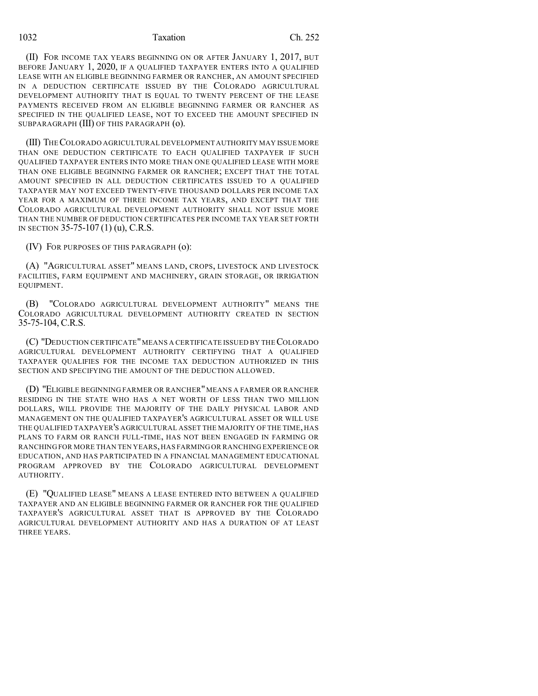### 1032 Taxation Ch. 252

(II) FOR INCOME TAX YEARS BEGINNING ON OR AFTER JANUARY 1, 2017, BUT BEFORE JANUARY 1, 2020, IF A QUALIFIED TAXPAYER ENTERS INTO A QUALIFIED LEASE WITH AN ELIGIBLE BEGINNING FARMER OR RANCHER, AN AMOUNT SPECIFIED IN A DEDUCTION CERTIFICATE ISSUED BY THE COLORADO AGRICULTURAL DEVELOPMENT AUTHORITY THAT IS EQUAL TO TWENTY PERCENT OF THE LEASE PAYMENTS RECEIVED FROM AN ELIGIBLE BEGINNING FARMER OR RANCHER AS SPECIFIED IN THE QUALIFIED LEASE, NOT TO EXCEED THE AMOUNT SPECIFIED IN SUBPARAGRAPH (III) OF THIS PARAGRAPH (o).

(III) THECOLORADO AGRICULTURAL DEVELOPMENT AUTHORITY MAY ISSUE MORE THAN ONE DEDUCTION CERTIFICATE TO EACH QUALIFIED TAXPAYER IF SUCH QUALIFIED TAXPAYER ENTERS INTO MORE THAN ONE QUALIFIED LEASE WITH MORE THAN ONE ELIGIBLE BEGINNING FARMER OR RANCHER; EXCEPT THAT THE TOTAL AMOUNT SPECIFIED IN ALL DEDUCTION CERTIFICATES ISSUED TO A QUALIFIED TAXPAYER MAY NOT EXCEED TWENTY-FIVE THOUSAND DOLLARS PER INCOME TAX YEAR FOR A MAXIMUM OF THREE INCOME TAX YEARS, AND EXCEPT THAT THE COLORADO AGRICULTURAL DEVELOPMENT AUTHORITY SHALL NOT ISSUE MORE THAN THE NUMBER OF DEDUCTION CERTIFICATES PER INCOME TAX YEAR SET FORTH IN SECTION 35-75-107 (1) (u), C.R.S.

(IV) FOR PURPOSES OF THIS PARAGRAPH (o):

(A) "AGRICULTURAL ASSET" MEANS LAND, CROPS, LIVESTOCK AND LIVESTOCK FACILITIES, FARM EQUIPMENT AND MACHINERY, GRAIN STORAGE, OR IRRIGATION EQUIPMENT.

(B) "COLORADO AGRICULTURAL DEVELOPMENT AUTHORITY" MEANS THE COLORADO AGRICULTURAL DEVELOPMENT AUTHORITY CREATED IN SECTION 35-75-104, C.R.S.

(C) "DEDUCTION CERTIFICATE"MEANS A CERTIFICATE ISSUED BY THECOLORADO AGRICULTURAL DEVELOPMENT AUTHORITY CERTIFYING THAT A QUALIFIED TAXPAYER QUALIFIES FOR THE INCOME TAX DEDUCTION AUTHORIZED IN THIS SECTION AND SPECIFYING THE AMOUNT OF THE DEDUCTION ALLOWED.

(D) "ELIGIBLE BEGINNING FARMER OR RANCHER" MEANS A FARMER OR RANCHER RESIDING IN THE STATE WHO HAS A NET WORTH OF LESS THAN TWO MILLION DOLLARS, WILL PROVIDE THE MAJORITY OF THE DAILY PHYSICAL LABOR AND MANAGEMENT ON THE QUALIFIED TAXPAYER'S AGRICULTURAL ASSET OR WILL USE THE QUALIFIED TAXPAYER'S AGRICULTURAL ASSET THE MAJORITY OF THE TIME, HAS PLANS TO FARM OR RANCH FULL-TIME, HAS NOT BEEN ENGAGED IN FARMING OR RANCHING FOR MORE THAN TEN YEARS,HAS FARMING OR RANCHING EXPERIENCE OR EDUCATION, AND HAS PARTICIPATED IN A FINANCIAL MANAGEMENT EDUCATIONAL PROGRAM APPROVED BY THE COLORADO AGRICULTURAL DEVELOPMENT AUTHORITY.

(E) "QUALIFIED LEASE" MEANS A LEASE ENTERED INTO BETWEEN A QUALIFIED TAXPAYER AND AN ELIGIBLE BEGINNING FARMER OR RANCHER FOR THE QUALIFIED TAXPAYER'S AGRICULTURAL ASSET THAT IS APPROVED BY THE COLORADO AGRICULTURAL DEVELOPMENT AUTHORITY AND HAS A DURATION OF AT LEAST THREE YEARS.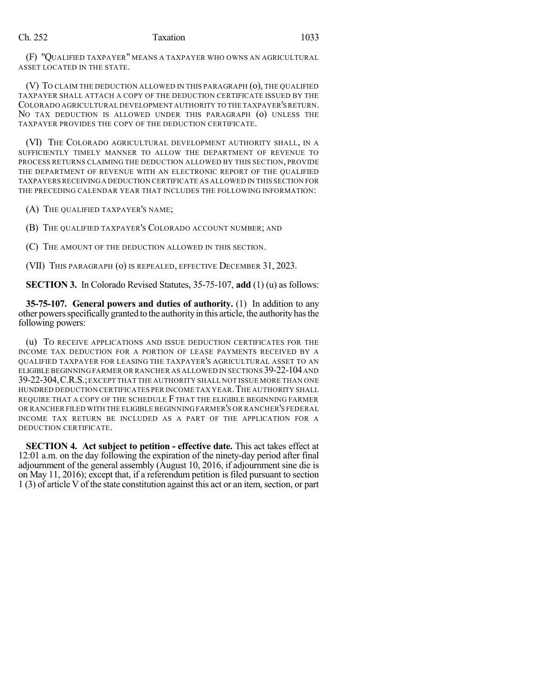# Ch. 252 Taxation 1033

(F) "QUALIFIED TAXPAYER" MEANS A TAXPAYER WHO OWNS AN AGRICULTURAL ASSET LOCATED IN THE STATE.

(V) TO CLAIM THE DEDUCTION ALLOWED IN THIS PARAGRAPH (o), THE QUALIFIED TAXPAYER SHALL ATTACH A COPY OF THE DEDUCTION CERTIFICATE ISSUED BY THE COLORADO AGRICULTURAL DEVELOPMENT AUTHORITY TO THE TAXPAYER'S RETURN. NO TAX DEDUCTION IS ALLOWED UNDER THIS PARAGRAPH (o) UNLESS THE TAXPAYER PROVIDES THE COPY OF THE DEDUCTION CERTIFICATE.

(VI) THE COLORADO AGRICULTURAL DEVELOPMENT AUTHORITY SHALL, IN A SUFFICIENTLY TIMELY MANNER TO ALLOW THE DEPARTMENT OF REVENUE TO PROCESS RETURNS CLAIMING THE DEDUCTION ALLOWED BY THIS SECTION, PROVIDE THE DEPARTMENT OF REVENUE WITH AN ELECTRONIC REPORT OF THE QUALIFIED TAXPAYERSRECEIVINGA DEDUCTION CERTIFICATE AS ALLOWED IN THIS SECTION FOR THE PRECEDING CALENDAR YEAR THAT INCLUDES THE FOLLOWING INFORMATION:

(A) THE QUALIFIED TAXPAYER'S NAME;

(B) THE QUALIFIED TAXPAYER'S COLORADO ACCOUNT NUMBER; AND

(C) THE AMOUNT OF THE DEDUCTION ALLOWED IN THIS SECTION.

(VII) THIS PARAGRAPH (o) IS REPEALED, EFFECTIVE DECEMBER 31, 2023.

**SECTION 3.** In Colorado Revised Statutes, 35-75-107, **add** (1) (u) as follows:

**35-75-107. General powers and duties of authority.** (1) In addition to any other powersspecificallygranted to the authorityin this article, the authorityhasthe following powers:

(u) TO RECEIVE APPLICATIONS AND ISSUE DEDUCTION CERTIFICATES FOR THE INCOME TAX DEDUCTION FOR A PORTION OF LEASE PAYMENTS RECEIVED BY A QUALIFIED TAXPAYER FOR LEASING THE TAXPAYER'S AGRICULTURAL ASSET TO AN ELIGIBLE BEGINNINGFARMER OR RANCHER AS ALLOWED IN SECTIONS 39-22-104AND 39-22-304,C.R.S.;EXCEPT THAT THE AUTHORITY SHALL NOT ISSUE MORE THAN ONE HUNDRED DEDUCTION CERTIFICATES PER INCOME TAX YEAR.THE AUTHORITY SHALL REQUIRE THAT A COPY OF THE SCHEDULE F THAT THE ELIGIBLE BEGINNING FARMER OR RANCHER FILED WITH THE ELIGIBLE BEGINNING FARMER'S OR RANCHER'S FEDERAL INCOME TAX RETURN BE INCLUDED AS A PART OF THE APPLICATION FOR A DEDUCTION CERTIFICATE.

**SECTION 4. Act subject to petition - effective date.** This act takes effect at 12:01 a.m. on the day following the expiration of the ninety-day period after final adjournment of the general assembly (August 10, 2016, if adjournment sine die is on May 11, 2016); except that, if a referendum petition is filed pursuant to section 1 (3) of article V of the state constitution against this act or an item, section, or part